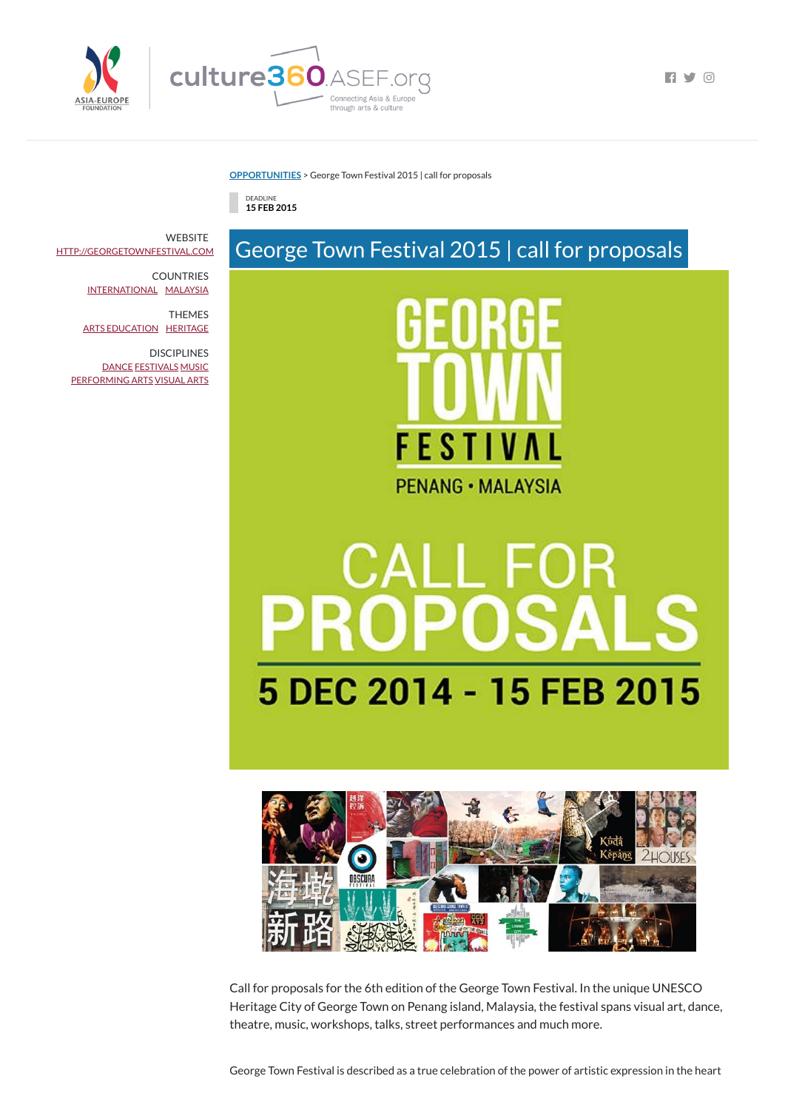

 $\blacksquare$ 

**[OPPORTUNITIES](https://culture360.asef.org/opportunities/)** > George Town Festival 2015 | call for proposals







## **The State** 5 DEC 2014 - 15 FEB 2015



Call for proposals for the 6th edition of the George Town Festival. In the unique UNESCO Heritage City of George Town on Penang island, Malaysia, the festival spans visual art, dance, theatre, music, workshops, talks, street performances and much more.

**WEBSITE** [HTTP://GEORGETOWNFESTIVAL.COM](http://georgetownfestival.com/)

**DISCIPLINES** [DANCE](https://culture360.asef.org/disciplines/dance/) [FESTIVALS](https://culture360.asef.org/disciplines/festivals/) [MUSIC](https://culture360.asef.org/disciplines/music/) [PERFORMING](https://culture360.asef.org/disciplines/performing-arts/) ARTS [VISUAL](https://culture360.asef.org/disciplines/visual-arts/) ARTS

George Town Festival is described as a true celebration of the power of artistic expression in the heart

COUNTRIES [INTERNATIONAL](https://culture360.asef.org/countries/international/) [MALAYSIA](https://culture360.asef.org/countries/malaysia/)

THEMES ARTS [EDUCATION](https://culture360.asef.org/themes/arts-education/) [HERITAGE](https://culture360.asef.org/themes/heritage/)